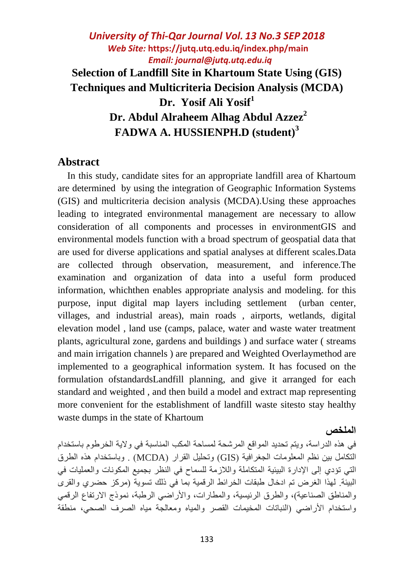# *University of Thi-Qar Journal Vol. 13 No.3 SEP 2018 Web Site:* **<https://jutq.utq.edu.iq/index.php/main>**  *Email: journal@jutq.utq.edu.iq* **Selection of Landfill Site in Khartoum State Using (GIS) Techniques and Multicriteria Decision Analysis (MCDA) Dr. Yosif Ali Yosif<sup>1</sup> Dr. Abdul Alraheem Alhag Abdul Azzez<sup>2</sup> FADWA A. HUSSIENPH.D (student)<sup>3</sup>**

#### **Abstract**

 In this study, candidate sites for an appropriate landfill area of Khartoum are determined by using the integration of Geographic Information Systems (GIS) and multicriteria decision analysis (MCDA).Using these approaches leading to integrated environmental management are necessary to allow consideration of all components and processes in environmentGIS and environmental models function with a broad spectrum of geospatial data that are used for diverse applications and spatial analyses at different scales.Data are collected through observation, measurement, and inference.The examination and organization of data into a useful form produced information, whichthen enables appropriate analysis and modeling. for this purpose, input digital map layers including settlement (urban center, villages, and industrial areas), main roads , airports, wetlands, digital elevation model , land use (camps, palace, water and waste water treatment plants, agricultural zone, gardens and buildings ) and surface water ( streams and main irrigation channels ) are prepared and Weighted Overlaymethod are implemented to a geographical information system. It has focused on the formulation ofstandardsLandfill planning, and give it arranged for each standard and weighted , and then build a model and extract map representing more convenient for the establishment of landfill waste sitesto stay healthy waste dumps in the state of Khartoum

#### **الملخص**

في هذه الدراسة، ويتم تحديد المواقع المرشحة لمساحة المكب المناسبة في والية الخرطوم باستخدام التكامل بين نظم المعلومات الجغرافية )GIS )وتحليل القرار )MCDA ). وباستخدام هذه الطرق التي تؤدي إلى اإلدارة البيئية المتكاملة والالزمة للسماح في النظر بجميع المكونات والعمليات في البيئة. لهذا الغرض تم ادخال طبقات الخرائط الرقمية بما في ذلك تسوية )مركز حضري والقرى والمناطق الصناعية)، والطرق الرئيسية، والمطارات، والأراضي الرطبة، نموذج الارتفاع الرقمي واستخدام الأراضي (النباتات المخيمات القصر والمياه ومعالجة مياه الصرف الصحي، منطقة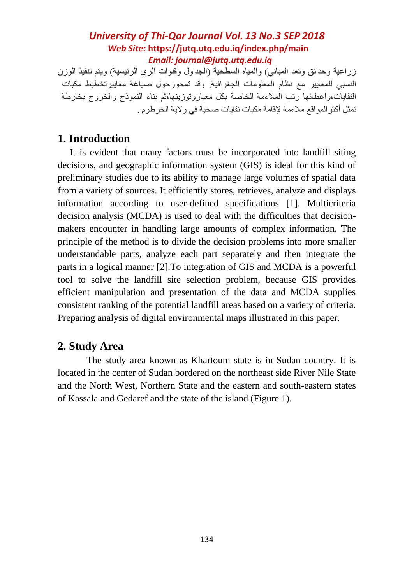زراعية وحدائق وتعد المباني) والمياه السطحية (الجداول وقنوات الري الرئيسية) ويتم تنفيذ الوزن النسبي للمعايير مع نظام المعلومات الجغرافية. وقد تمحورحول صياغة معاييرتخطيط مكبات النفايات،واعطائها رتب المالءمة الخاصة بكل معياروتوزينها،ثم بناء النموذج والخروج بخارطة تمثل أكثرالمواقع مالءمة إلقامة مكبات نفايات صحية في والية الخرطوم .

#### **1. Introduction**

 It is evident that many factors must be incorporated into landfill siting decisions, and geographic information system (GIS) is ideal for this kind of preliminary studies due to its ability to manage large volumes of spatial data from a variety of sources. It efficiently stores, retrieves, analyze and displays information according to user-defined specifications [1]. Multicriteria decision analysis (MCDA) is used to deal with the difficulties that decisionmakers encounter in handling large amounts of complex information. The principle of the method is to divide the decision problems into more smaller understandable parts, analyze each part separately and then integrate the parts in a logical manner [2].To integration of GIS and MCDA is a powerful tool to solve the landfill site selection problem, because GIS provides efficient manipulation and presentation of the data and MCDA supplies consistent ranking of the potential landfill areas based on a variety of criteria. Preparing analysis of digital environmental maps illustrated in this paper.

#### **2. Study Area**

The study area known as Khartoum state is in Sudan country. It is located in the center of Sudan bordered on the northeast side River Nile State and the North West, Northern State and the eastern and south-eastern states of Kassala and Gedaref and the state of the island (Figure 1).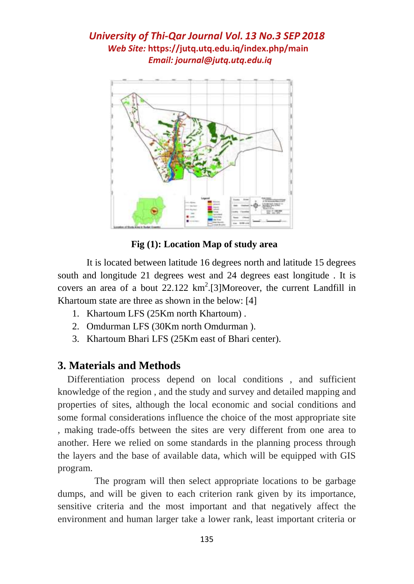

**Fig (1): Location Map of study area**

It is located between latitude 16 degrees north and latitude 15 degrees south and longitude 21 degrees west and 24 degrees east longitude . It is covers an area of a bout  $22.122 \text{ km}^2$ .[3]Moreover, the current Landfill in Khartoum state are three as shown in the below: [4]

- 1. Khartoum LFS (25Km north Khartoum) .
- 2. Omdurman LFS (30Km north Omdurman ).
- 3. Khartoum Bhari LFS (25Km east of Bhari center).

#### **3. Materials and Methods**

 Differentiation process depend on local conditions , and sufficient knowledge of the region , and the study and survey and detailed mapping and properties of sites, although the local economic and social conditions and some formal considerations influence the choice of the most appropriate site , making trade-offs between the sites are very different from one area to another. Here we relied on some standards in the planning process through the layers and the base of available data, which will be equipped with GIS program.

The program will then select appropriate locations to be garbage dumps, and will be given to each criterion rank given by its importance, sensitive criteria and the most important and that negatively affect the environment and human larger take a lower rank, least important criteria or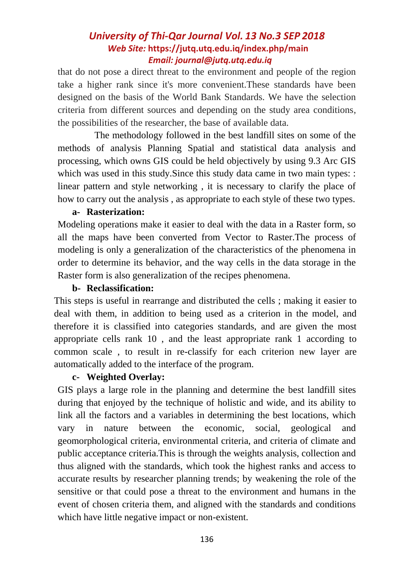that do not pose a direct threat to the environment and people of the region take a higher rank since it's more convenient.These standards have been designed on the basis of the World Bank Standards. We have the selection criteria from different sources and depending on the study area conditions, the possibilities of the researcher, the base of available data.

The methodology followed in the best landfill sites on some of the methods of analysis Planning Spatial and statistical data analysis and processing, which owns GIS could be held objectively by using 9.3 Arc GIS which was used in this study. Since this study data came in two main types: : linear pattern and style networking , it is necessary to clarify the place of how to carry out the analysis , as appropriate to each style of these two types.

#### **a- Rasterization:**

Modeling operations make it easier to deal with the data in a Raster form, so all the maps have been converted from Vector to Raster.The process of modeling is only a generalization of the characteristics of the phenomena in order to determine its behavior, and the way cells in the data storage in the Raster form is also generalization of the recipes phenomena.

#### **b- Reclassification:**

This steps is useful in rearrange and distributed the cells ; making it easier to deal with them, in addition to being used as a criterion in the model, and therefore it is classified into categories standards, and are given the most appropriate cells rank 10 , and the least appropriate rank 1 according to common scale , to result in re-classify for each criterion new layer are automatically added to the interface of the program.

#### **c- Weighted Overlay:**

GIS plays a large role in the planning and determine the best landfill sites during that enjoyed by the technique of holistic and wide, and its ability to link all the factors and a variables in determining the best locations, which vary in nature between the economic, social, geological and geomorphological criteria, environmental criteria, and criteria of climate and public acceptance criteria.This is through the weights analysis, collection and thus aligned with the standards, which took the highest ranks and access to accurate results by researcher planning trends; by weakening the role of the sensitive or that could pose a threat to the environment and humans in the event of chosen criteria them, and aligned with the standards and conditions which have little negative impact or non-existent.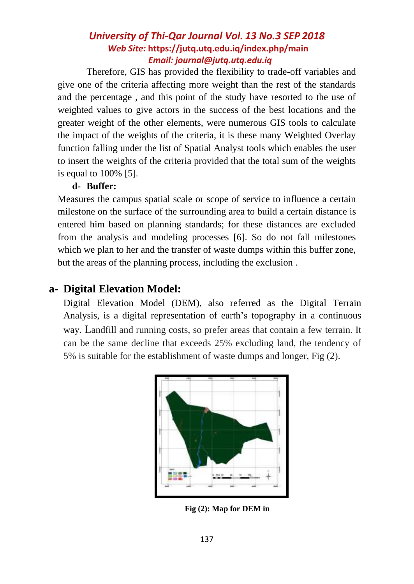Therefore, GIS has provided the flexibility to trade-off variables and give one of the criteria affecting more weight than the rest of the standards and the percentage , and this point of the study have resorted to the use of weighted values to give actors in the success of the best locations and the greater weight of the other elements, were numerous GIS tools to calculate the impact of the weights of the criteria, it is these many Weighted Overlay function falling under the list of Spatial Analyst tools which enables the user to insert the weights of the criteria provided that the total sum of the weights is equal to 100% [5].

#### **d- Buffer:**

Measures the campus spatial scale or scope of service to influence a certain milestone on the surface of the surrounding area to build a certain distance is entered him based on planning standards; for these distances are excluded from the analysis and modeling processes [6]. So do not fall milestones which we plan to her and the transfer of waste dumps within this buffer zone, but the areas of the planning process, including the exclusion .

#### **a- Digital Elevation Model:**

Digital Elevation Model (DEM), also referred as the Digital Terrain Analysis, is a digital representation of earth's topography in a continuous way. Landfill and running costs, so prefer areas that contain a few terrain. It can be the same decline that exceeds 25% excluding land, the tendency of 5% is suitable for the establishment of waste dumps and longer, Fig (2).



**Fig (2): Map for DEM in**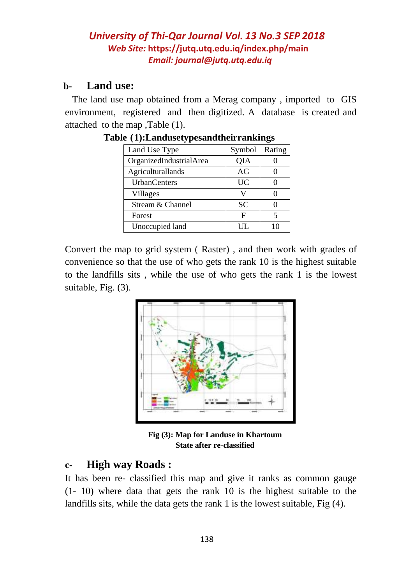#### **b- Land use:**

 The land use map obtained from a Merag company , imported to GIS environment, registered and then digitized. A database is created and attached to the map ,Table (1).

| Land Use Type           | Symbol    | Rating |
|-------------------------|-----------|--------|
| OrganizedIndustrialArea | OIA       |        |
| Agriculturallands       | AG        |        |
| <b>UrbanCenters</b>     | UC        |        |
| Villages                | v         |        |
| Stream & Channel        | <b>SC</b> |        |
| Forest                  | F         | 5      |
| Unoccupied land         | UЕ        | 10     |

|  | Table (1):Landusetypesandtheirrankings |  |  |
|--|----------------------------------------|--|--|
|--|----------------------------------------|--|--|

Convert the map to grid system ( Raster) , and then work with grades of convenience so that the use of who gets the rank 10 is the highest suitable to the landfills sits , while the use of who gets the rank 1 is the lowest suitable, Fig. (3).



**Fig (3): Map for Landuse in Khartoum State after re-classified**

## **c- High way Roads :**

It has been re- classified this map and give it ranks as common gauge (1- 10) where data that gets the rank 10 is the highest suitable to the landfills sits, while the data gets the rank 1 is the lowest suitable, Fig (4).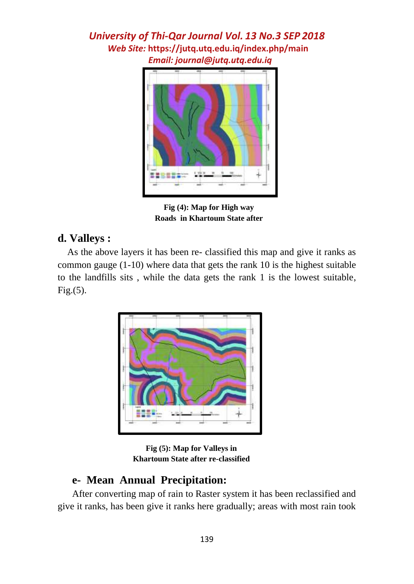

**Fig (4): Map for High way Roads in Khartoum State after** 

### **d. Valleys :**

 As the above layers it has been re- classified this map and give it ranks as common gauge (1-10) where data that gets the rank 10 is the highest suitable to the landfills sits , while the data gets the rank 1 is the lowest suitable, Fig.(5).



**Fig (5): Map for Valleys in Khartoum State after re-classified**

## **e- Mean Annual Precipitation:**

 After converting map of rain to Raster system it has been reclassified and give it ranks, has been give it ranks here gradually; areas with most rain took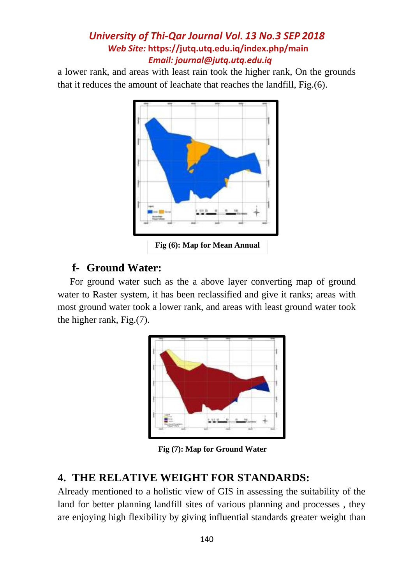a lower rank, and areas with least rain took the higher rank, On the grounds that it reduces the amount of leachate that reaches the landfill, Fig.(6).



**Fig (6): Map for Mean Annual** 

## **f- Ground Water:**

 For ground water such as the a above layer converting map of ground water to Raster system, it has been reclassified and give it ranks; areas with most ground water took a lower rank, and areas with least ground water took the higher rank, Fig.(7).



**Fig (7): Map for Ground Water** 

### **4. THE RELATIVE WEIGHT FOR STANDARDS:**

Already mentioned to a holistic view of GIS in assessing the suitability of the land for better planning landfill sites of various planning and processes , they are enjoying high flexibility by giving influential standards greater weight than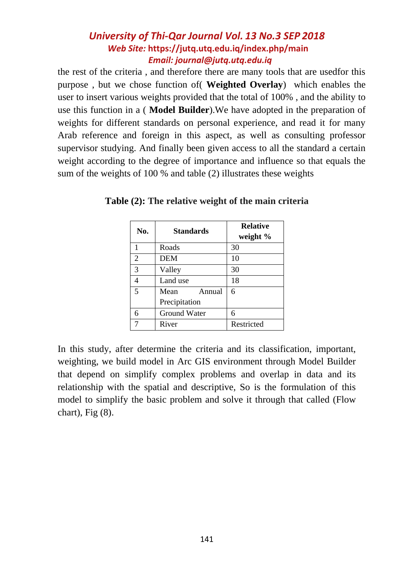the rest of the criteria , and therefore there are many tools that are usedfor this purpose , but we chose function of( **Weighted Overlay**) which enables the user to insert various weights provided that the total of 100% , and the ability to use this function in a ( **Model Builder**).We have adopted in the preparation of weights for different standards on personal experience, and read it for many Arab reference and foreign in this aspect, as well as consulting professor supervisor studying. And finally been given access to all the standard a certain weight according to the degree of importance and influence so that equals the sum of the weights of 100 % and table (2) illustrates these weights

| No.                      | <b>Standards</b> | <b>Relative</b><br>weight % |
|--------------------------|------------------|-----------------------------|
|                          | Roads            | 30                          |
| $\overline{2}$           | <b>DEM</b>       | 10                          |
| 3                        | Valley           | 30                          |
|                          | Land use         | 18                          |
| $\overline{\phantom{0}}$ | Mean<br>Annual   | 6                           |
|                          | Precipitation    |                             |
| 6                        | Ground Water     | 6                           |
|                          | River            | Restricted                  |

**Table (2): The relative weight of the main criteria**

In this study, after determine the criteria and its classification, important, weighting, we build model in Arc GIS environment through Model Builder that depend on simplify complex problems and overlap in data and its relationship with the spatial and descriptive, So is the formulation of this model to simplify the basic problem and solve it through that called (Flow chart), Fig  $(8)$ .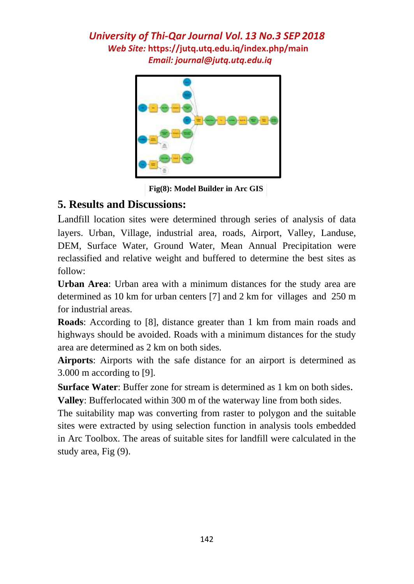

**Fig(8): Model Builder in Arc GIS**

## **5. Results and Discussions:**

Landfill location sites were determined through series of analysis of data layers. Urban, Village, industrial area, roads, Airport, Valley, Landuse, DEM, Surface Water, Ground Water, Mean Annual Precipitation were reclassified and relative weight and buffered to determine the best sites as follow:

**Urban Area**: Urban area with a minimum distances for the study area are determined as 10 km for urban centers [7] and 2 km for villages and 250 m for industrial areas.

**Roads**: According to [8], distance greater than 1 km from main roads and highways should be avoided. Roads with a minimum distances for the study area are determined as 2 km on both sides.

**Airports**: Airports with the safe distance for an airport is determined as 3.000 m according to [9].

**Surface Water**: Buffer zone for stream is determined as 1 km on both sides.

**Valley**: Bufferlocated within 300 m of the waterway line from both sides.

The suitability map was converting from raster to polygon and the suitable sites were extracted by using selection function in analysis tools embedded in Arc Toolbox. The areas of suitable sites for landfill were calculated in the study area, Fig (9).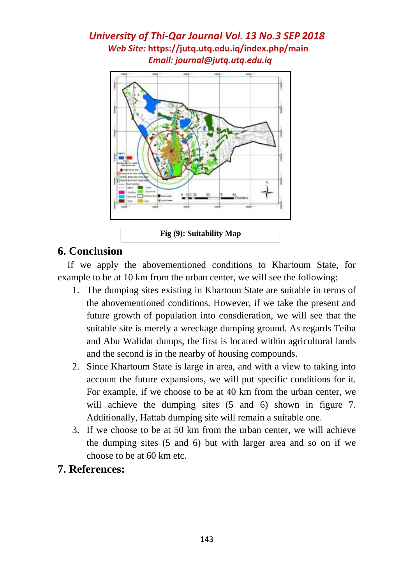

**Fig (9): Suitability Map**

### **6. Conclusion**

 If we apply the abovementioned conditions to Khartoum State, for example to be at 10 km from the urban center, we will see the following:

- 1. The dumping sites existing in Khartoun State are suitable in terms of the abovementioned conditions. However, if we take the present and future growth of population into consdieration, we will see that the suitable site is merely a wreckage dumping ground. As regards Teiba and Abu Walidat dumps, the first is located within agricultural lands and the second is in the nearby of housing compounds.
- 2. Since Khartoum State is large in area, and with a view to taking into account the future expansions, we will put specific conditions for it. For example, if we choose to be at 40 km from the urban center, we will achieve the dumping sites  $(5 \text{ and } 6)$  shown in figure 7. Additionally, Hattab dumping site will remain a suitable one.
- 3. If we choose to be at 50 km from the urban center, we will achieve the dumping sites (5 and 6) but with larger area and so on if we choose to be at 60 km etc.

## **7. References:**